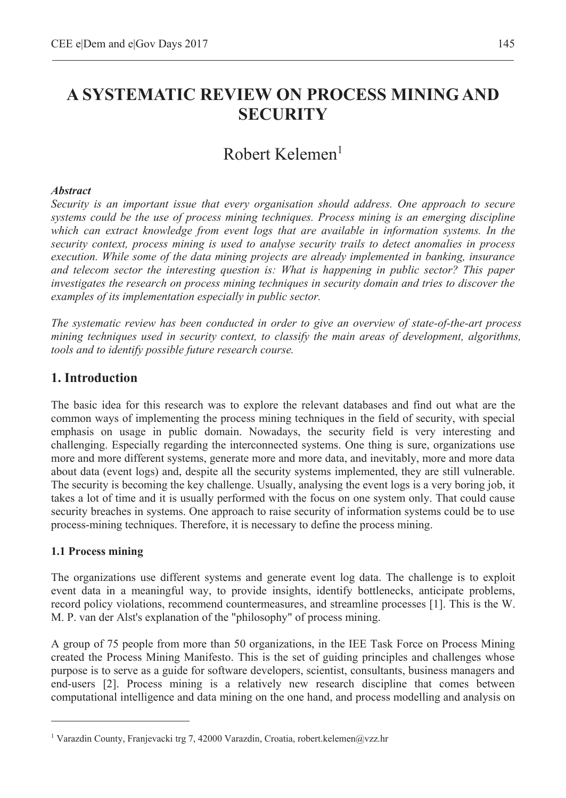# **A SYSTEMATIC REVIEW ON PROCESS MINING AND SECURITY**

# Robert Kelemen1

#### *Abstract*

*Security is an important issue that every organisation should address. One approach to secure systems could be the use of process mining techniques. Process mining is an emerging discipline which can extract knowledge from event logs that are available in information systems. In the security context, process mining is used to analyse security trails to detect anomalies in process execution. While some of the data mining projects are already implemented in banking, insurance and telecom sector the interesting question is: What is happening in public sector? This paper investigates the research on process mining techniques in security domain and tries to discover the examples of its implementation especially in public sector.* 

*The systematic review has been conducted in order to give an overview of state-of-the-art process mining techniques used in security context, to classify the main areas of development, algorithms, tools and to identify possible future research course.* 

## **1. Introduction**

The basic idea for this research was to explore the relevant databases and find out what are the common ways of implementing the process mining techniques in the field of security, with special emphasis on usage in public domain. Nowadays, the security field is very interesting and challenging. Especially regarding the interconnected systems. One thing is sure, organizations use more and more different systems, generate more and more data, and inevitably, more and more data about data (event logs) and, despite all the security systems implemented, they are still vulnerable. The security is becoming the key challenge. Usually, analysing the event logs is a very boring job, it takes a lot of time and it is usually performed with the focus on one system only. That could cause security breaches in systems. One approach to raise security of information systems could be to use process-mining techniques. Therefore, it is necessary to define the process mining.

### **1.1 Process mining**

 $\overline{a}$ 

The organizations use different systems and generate event log data. The challenge is to exploit event data in a meaningful way, to provide insights, identify bottlenecks, anticipate problems, record policy violations, recommend countermeasures, and streamline processes [1]. This is the W. M. P. van der Alst's explanation of the "philosophy" of process mining.

A group of 75 people from more than 50 organizations, in the IEE Task Force on Process Mining created the Process Mining Manifesto. This is the set of guiding principles and challenges whose purpose is to serve as a guide for software developers, scientist, consultants, business managers and end-users [2]. Process mining is a relatively new research discipline that comes between computational intelligence and data mining on the one hand, and process modelling and analysis on

<sup>&</sup>lt;sup>1</sup> Varazdin County, Franjevacki trg 7, 42000 Varazdin, Croatia, robert.kelemen@vzz.hr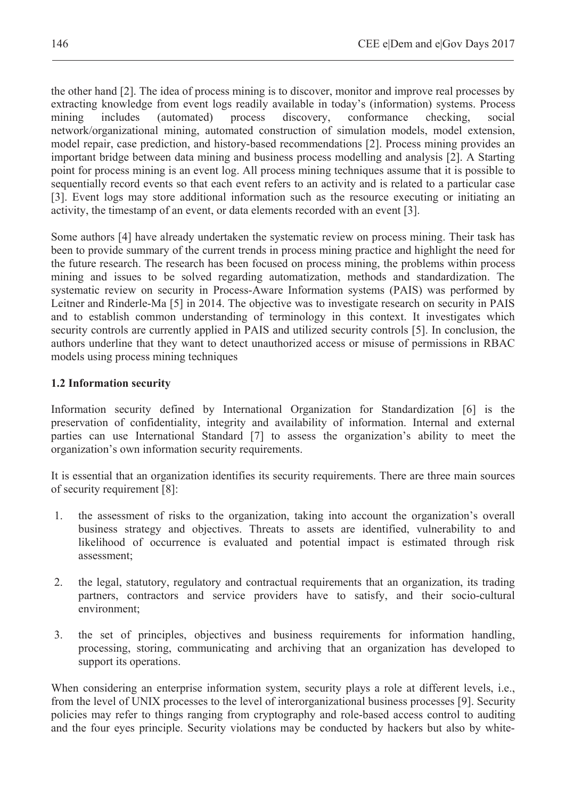the other hand [2]. The idea of process mining is to discover, monitor and improve real processes by extracting knowledge from event logs readily available in today's (information) systems. Process mining includes (automated) process discovery, conformance checking, social network/organizational mining, automated construction of simulation models, model extension, model repair, case prediction, and history-based recommendations [2]. Process mining provides an important bridge between data mining and business process modelling and analysis [2]. A Starting point for process mining is an event log. All process mining techniques assume that it is possible to sequentially record events so that each event refers to an activity and is related to a particular case [3]. Event logs may store additional information such as the resource executing or initiating an activity, the timestamp of an event, or data elements recorded with an event [3].

Some authors [4] have already undertaken the systematic review on process mining. Their task has been to provide summary of the current trends in process mining practice and highlight the need for the future research. The research has been focused on process mining, the problems within process mining and issues to be solved regarding automatization, methods and standardization. The systematic review on security in Process-Aware Information systems (PAIS) was performed by Leitner and Rinderle-Ma [5] in 2014. The objective was to investigate research on security in PAIS and to establish common understanding of terminology in this context. It investigates which security controls are currently applied in PAIS and utilized security controls [5]. In conclusion, the authors underline that they want to detect unauthorized access or misuse of permissions in RBAC models using process mining techniques

### **1.2 Information security**

Information security defined by International Organization for Standardization [6] is the preservation of confidentiality, integrity and availability of information. Internal and external parties can use International Standard [7] to assess the organization's ability to meet the organization's own information security requirements.

It is essential that an organization identifies its security requirements. There are three main sources of security requirement [8]:

- 1. the assessment of risks to the organization, taking into account the organization's overall business strategy and objectives. Threats to assets are identified, vulnerability to and likelihood of occurrence is evaluated and potential impact is estimated through risk assessment;
- 2. the legal, statutory, regulatory and contractual requirements that an organization, its trading partners, contractors and service providers have to satisfy, and their socio-cultural environment;
- 3. the set of principles, objectives and business requirements for information handling, processing, storing, communicating and archiving that an organization has developed to support its operations.

When considering an enterprise information system, security plays a role at different levels, i.e., from the level of UNIX processes to the level of interorganizational business processes [9]. Security policies may refer to things ranging from cryptography and role-based access control to auditing and the four eyes principle. Security violations may be conducted by hackers but also by white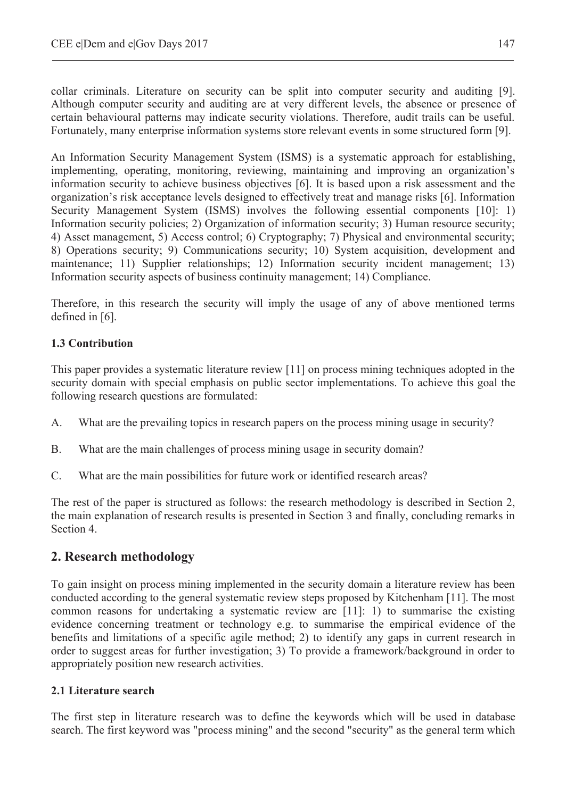collar criminals. Literature on security can be split into computer security and auditing [9]. Although computer security and auditing are at very different levels, the absence or presence of certain behavioural patterns may indicate security violations. Therefore, audit trails can be useful. Fortunately, many enterprise information systems store relevant events in some structured form [9].

An Information Security Management System (ISMS) is a systematic approach for establishing, implementing, operating, monitoring, reviewing, maintaining and improving an organization's information security to achieve business objectives [6]. It is based upon a risk assessment and the organization's risk acceptance levels designed to effectively treat and manage risks [6]. Information Security Management System (ISMS) involves the following essential components [10]: 1) Information security policies; 2) Organization of information security; 3) Human resource security; 4) Asset management, 5) Access control; 6) Cryptography; 7) Physical and environmental security; 8) Operations security; 9) Communications security; 10) System acquisition, development and maintenance; 11) Supplier relationships; 12) Information security incident management; 13) Information security aspects of business continuity management; 14) Compliance.

Therefore, in this research the security will imply the usage of any of above mentioned terms defined in [6].

### **1.3 Contribution**

This paper provides a systematic literature review [11] on process mining techniques adopted in the security domain with special emphasis on public sector implementations. To achieve this goal the following research questions are formulated:

- A. What are the prevailing topics in research papers on the process mining usage in security?
- B. What are the main challenges of process mining usage in security domain?
- C. What are the main possibilities for future work or identified research areas?

The rest of the paper is structured as follows: the research methodology is described in Section 2, the main explanation of research results is presented in Section 3 and finally, concluding remarks in Section 4.

## **2. Research methodology**

To gain insight on process mining implemented in the security domain a literature review has been conducted according to the general systematic review steps proposed by Kitchenham [11]. The most common reasons for undertaking a systematic review are [11]: 1) to summarise the existing evidence concerning treatment or technology e.g. to summarise the empirical evidence of the benefits and limitations of a specific agile method; 2) to identify any gaps in current research in order to suggest areas for further investigation; 3) To provide a framework/background in order to appropriately position new research activities.

### **2.1 Literature search**

The first step in literature research was to define the keywords which will be used in database search. The first keyword was "process mining" and the second "security" as the general term which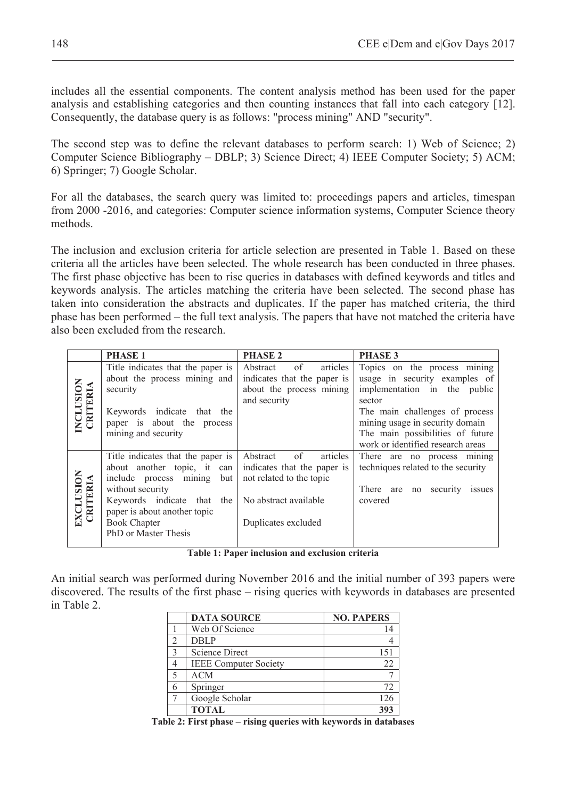includes all the essential components. The content analysis method has been used for the paper analysis and establishing categories and then counting instances that fall into each category [12]. Consequently, the database query is as follows: "process mining" AND "security".

The second step was to define the relevant databases to perform search: 1) Web of Science; 2) Computer Science Bibliography – DBLP; 3) Science Direct; 4) IEEE Computer Society; 5) ACM; 6) Springer; 7) Google Scholar.

For all the databases, the search query was limited to: proceedings papers and articles, timespan from 2000 -2016, and categories: Computer science information systems, Computer Science theory methods.

The inclusion and exclusion criteria for article selection are presented in Table 1. Based on these criteria all the articles have been selected. The whole research has been conducted in three phases. The first phase objective has been to rise queries in databases with defined keywords and titles and keywords analysis. The articles matching the criteria have been selected. The second phase has taken into consideration the abstracts and duplicates. If the paper has matched criteria, the third phase has been performed – the full text analysis. The papers that have not matched the criteria have also been excluded from the research.

|                       | <b>PHASE 1</b>                                                                                                                                                                                                                        | <b>PHASE 2</b>                                                                                                                        | <b>PHASE 3</b>                                                                                                                             |  |  |
|-----------------------|---------------------------------------------------------------------------------------------------------------------------------------------------------------------------------------------------------------------------------------|---------------------------------------------------------------------------------------------------------------------------------------|--------------------------------------------------------------------------------------------------------------------------------------------|--|--|
|                       | Title indicates that the paper is                                                                                                                                                                                                     | $\overline{\text{of}}$<br>Abstract<br>articles                                                                                        | Topics on the process mining                                                                                                               |  |  |
|                       | about the process mining and<br>security                                                                                                                                                                                              | indicates that the paper is<br>about the process mining<br>and security                                                               | usage in security examples of<br>implementation in the public<br>sector                                                                    |  |  |
| INCLUSION<br>CRITERIA | Keywords indicate that the<br>paper is about the process<br>mining and security                                                                                                                                                       |                                                                                                                                       | The main challenges of process<br>mining usage in security domain<br>The main possibilities of future<br>work or identified research areas |  |  |
| EXCLUSION<br>CRITERIA | Title indicates that the paper is<br>about another topic, it can<br>include process mining<br>but<br>without security<br>Keywords indicate that<br>the<br>paper is about another topic<br><b>Book Chapter</b><br>PhD or Master Thesis | Abstract<br>of<br>articles<br>indicates that the paper is<br>not related to the topic<br>No abstract available<br>Duplicates excluded | There are no process mining<br>techniques related to the security<br>There are no<br>security<br><i>ssues</i><br>covered                   |  |  |

**Table 1: Paper inclusion and exclusion criteria** 

An initial search was performed during November 2016 and the initial number of 393 papers were discovered. The results of the first phase – rising queries with keywords in databases are presented in Table 2.

|               | <b>DATA SOURCE</b>           | <b>NO. PAPERS</b> |
|---------------|------------------------------|-------------------|
|               | Web Of Science               |                   |
| $\mathcal{D}$ | <b>DBLP</b>                  |                   |
| $\mathcal{D}$ | Science Direct               | 151               |
|               | <b>IEEE Computer Society</b> | 22                |
| c             | <b>ACM</b>                   |                   |
|               | Springer                     | 72                |
|               | Google Scholar               | 126               |
|               | <b>TOTAL</b>                 | 39                |

**Table 2: First phase – rising queries with keywords in databases**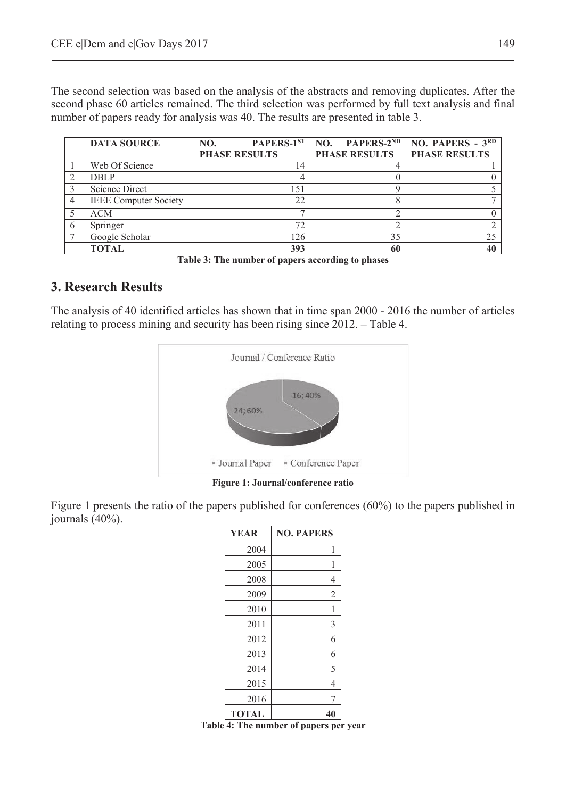The second selection was based on the analysis of the abstracts and removing duplicates. After the second phase 60 articles remained. The third selection was performed by full text analysis and final number of papers ready for analysis was 40. The results are presented in table 3.

|    | <b>DATA SOURCE</b>           | PAPERS-1ST<br>NO.    | NO. PAPERS- $2^{ND}$ | NO. PAPERS - $3RD$   |
|----|------------------------------|----------------------|----------------------|----------------------|
|    |                              | <b>PHASE RESULTS</b> | <b>PHASE RESULTS</b> | <b>PHASE RESULTS</b> |
|    | Web Of Science               | 14                   |                      |                      |
|    | <b>DBLP</b>                  |                      |                      |                      |
|    | Science Direct               | 151                  |                      |                      |
|    | <b>IEEE</b> Computer Society | 22                   |                      |                      |
|    | <b>ACM</b>                   | -                    |                      |                      |
| -6 | Springer                     | 72                   |                      |                      |
|    | Google Scholar               | 126                  | 35                   |                      |
|    | <b>TOTAL</b>                 | 393                  | 60                   |                      |

**Table 3: The number of papers according to phases** 

# **3. Research Results**

The analysis of 40 identified articles has shown that in time span 2000 - 2016 the number of articles relating to process mining and security has been rising since 2012. – Table 4.



**Figure 1: Journal/conference ratio** 

Figure 1 presents the ratio of the papers published for conferences (60%) to the papers published in journals (40%).

| YEAR         | <b>NO. PAPERS</b> |
|--------------|-------------------|
| 2004         | 1                 |
| 2005         | 1                 |
| 2008         | 4                 |
| 2009         | 2                 |
| 2010         | 1                 |
| 2011         | 3                 |
| 2012         | 6                 |
| 2013         | 6                 |
| 2014         | 5                 |
| 2015         | 4                 |
| 2016         | 7                 |
| <b>TOTAL</b> | 40                |

**Table 4: The number of papers per year**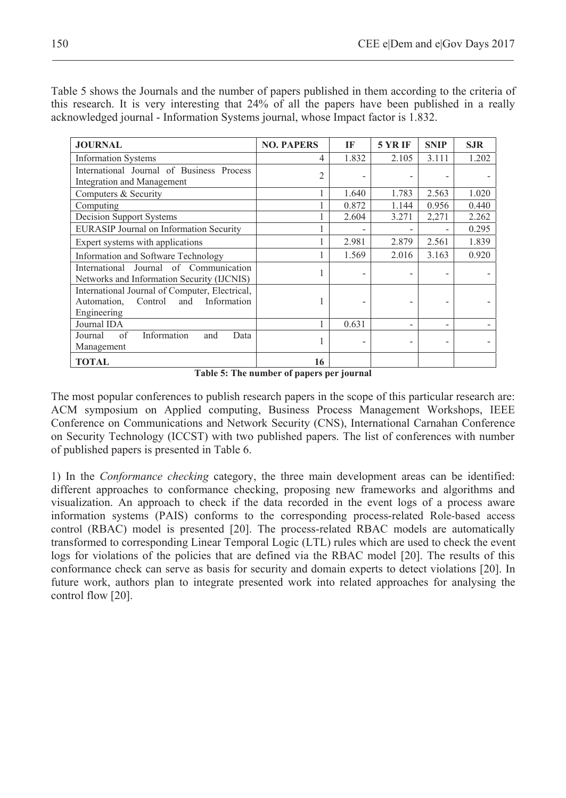Table 5 shows the Journals and the number of papers published in them according to the criteria of this research. It is very interesting that 24% of all the papers have been published in a really acknowledged journal - Information Systems journal, whose Impact factor is 1.832.

| <b>JOURNAL</b>                                                                                                | <b>NO. PAPERS</b> | IF    | <b>5 YR IF</b> | <b>SNIP</b> | <b>SJR</b> |
|---------------------------------------------------------------------------------------------------------------|-------------------|-------|----------------|-------------|------------|
| <b>Information Systems</b>                                                                                    | 4                 | 1.832 | 2.105          | 3.111       | 1.202      |
| International Journal of Business Process<br>Integration and Management                                       | $\overline{2}$    |       |                |             |            |
| Computers & Security                                                                                          |                   | 1.640 | 1.783          | 2.563       | 1.020      |
| Computing                                                                                                     |                   | 0.872 | 1.144          | 0.956       | 0.440      |
| Decision Support Systems                                                                                      |                   | 2.604 | 3.271          | 2,271       | 2.262      |
| EURASIP Journal on Information Security                                                                       |                   |       |                |             | 0.295      |
| Expert systems with applications                                                                              |                   | 2.981 | 2.879          | 2.561       | 1.839      |
| Information and Software Technology                                                                           |                   | 1.569 | 2.016          | 3.163       | 0.920      |
| International Journal of Communication<br>Networks and Information Security (IJCNIS)                          |                   |       |                |             |            |
| International Journal of Computer, Electrical,<br>Information<br>Control<br>and<br>Automation,<br>Engineering |                   |       |                |             |            |
| Journal IDA                                                                                                   |                   | 0.631 |                |             |            |
| Information<br>of<br>Journal<br>and<br>Data<br>Management                                                     |                   |       |                |             |            |
| <b>TOTAL</b>                                                                                                  | 16                |       |                |             |            |

**Table 5: The number of papers per journal** 

The most popular conferences to publish research papers in the scope of this particular research are: ACM symposium on Applied computing, Business Process Management Workshops, IEEE Conference on Communications and Network Security (CNS), International Carnahan Conference on Security Technology (ICCST) with two published papers. The list of conferences with number of published papers is presented in Table 6.

1) In the *Conformance checking* category, the three main development areas can be identified: different approaches to conformance checking, proposing new frameworks and algorithms and visualization. An approach to check if the data recorded in the event logs of a process aware information systems (PAIS) conforms to the corresponding process-related Role-based access control (RBAC) model is presented [20]. The process-related RBAC models are automatically transformed to corresponding Linear Temporal Logic (LTL) rules which are used to check the event logs for violations of the policies that are defined via the RBAC model [20]. The results of this conformance check can serve as basis for security and domain experts to detect violations [20]. In future work, authors plan to integrate presented work into related approaches for analysing the control flow [20].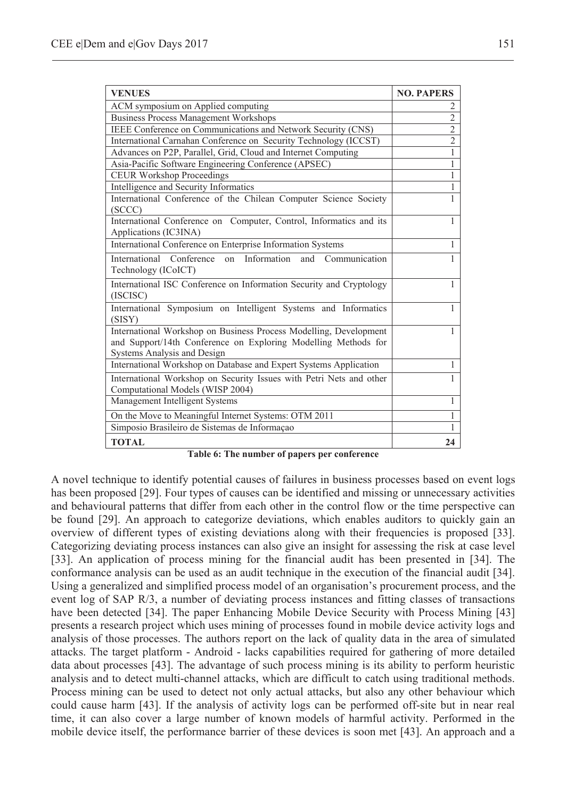| <b>VENUES</b>                                                                                                                                                      | <b>NO. PAPERS</b> |
|--------------------------------------------------------------------------------------------------------------------------------------------------------------------|-------------------|
| ACM symposium on Applied computing                                                                                                                                 | 2                 |
| <b>Business Process Management Workshops</b>                                                                                                                       | $\overline{2}$    |
| IEEE Conference on Communications and Network Security (CNS)                                                                                                       | $\overline{2}$    |
| International Carnahan Conference on Security Technology (ICCST)                                                                                                   | $\overline{2}$    |
| Advances on P2P, Parallel, Grid, Cloud and Internet Computing                                                                                                      | 1                 |
| Asia-Pacific Software Engineering Conference (APSEC)                                                                                                               | 1                 |
| <b>CEUR Workshop Proceedings</b>                                                                                                                                   | 1                 |
| Intelligence and Security Informatics                                                                                                                              | 1                 |
| International Conference of the Chilean Computer Science Society<br>(SCCC)                                                                                         | 1                 |
| International Conference on Computer, Control, Informatics and its<br>Applications (IC3INA)                                                                        | $\mathbf{1}$      |
| International Conference on Enterprise Information Systems                                                                                                         | $\mathbf{1}$      |
| International Conference on Information and Communication<br>Technology (ICoICT)                                                                                   | $\mathbf{1}$      |
| International ISC Conference on Information Security and Cryptology<br>(ISCISC)                                                                                    | 1                 |
| International Symposium on Intelligent Systems and Informatics<br>(SISY)                                                                                           | $\mathbf{1}$      |
| International Workshop on Business Process Modelling, Development<br>and Support/14th Conference on Exploring Modelling Methods for<br>Systems Analysis and Design | 1                 |
| International Workshop on Database and Expert Systems Application                                                                                                  | 1                 |
| International Workshop on Security Issues with Petri Nets and other<br>Computational Models (WISP 2004)                                                            |                   |
| Management Intelligent Systems                                                                                                                                     | 1                 |
| On the Move to Meaningful Internet Systems: OTM 2011                                                                                                               | 1                 |
| Simposio Brasileiro de Sistemas de Informação                                                                                                                      | 1                 |
| <b>TOTAL</b>                                                                                                                                                       | 24                |

**Table 6: The number of papers per conference** 

A novel technique to identify potential causes of failures in business processes based on event logs has been proposed [29]. Four types of causes can be identified and missing or unnecessary activities and behavioural patterns that differ from each other in the control flow or the time perspective can be found [29]. An approach to categorize deviations, which enables auditors to quickly gain an overview of different types of existing deviations along with their frequencies is proposed [33]. Categorizing deviating process instances can also give an insight for assessing the risk at case level [33]. An application of process mining for the financial audit has been presented in [34]. The conformance analysis can be used as an audit technique in the execution of the financial audit [34]. Using a generalized and simplified process model of an organisation's procurement process, and the event log of SAP R/3, a number of deviating process instances and fitting classes of transactions have been detected [34]. The paper Enhancing Mobile Device Security with Process Mining [43] presents a research project which uses mining of processes found in mobile device activity logs and analysis of those processes. The authors report on the lack of quality data in the area of simulated attacks. The target platform - Android - lacks capabilities required for gathering of more detailed data about processes [43]. The advantage of such process mining is its ability to perform heuristic analysis and to detect multi-channel attacks, which are difficult to catch using traditional methods. Process mining can be used to detect not only actual attacks, but also any other behaviour which could cause harm [43]. If the analysis of activity logs can be performed off-site but in near real time, it can also cover a large number of known models of harmful activity. Performed in the mobile device itself, the performance barrier of these devices is soon met [43]. An approach and a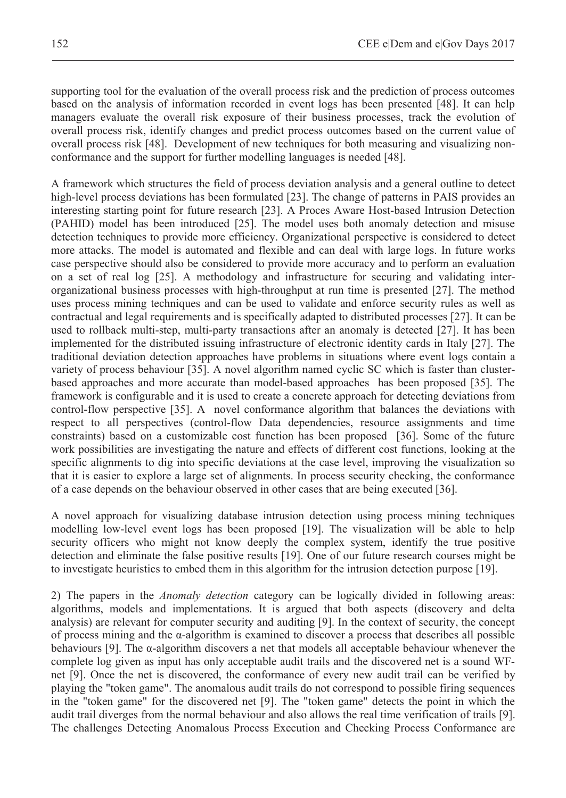supporting tool for the evaluation of the overall process risk and the prediction of process outcomes based on the analysis of information recorded in event logs has been presented [48]. It can help managers evaluate the overall risk exposure of their business processes, track the evolution of overall process risk, identify changes and predict process outcomes based on the current value of overall process risk [48]. Development of new techniques for both measuring and visualizing nonconformance and the support for further modelling languages is needed [48].

A framework which structures the field of process deviation analysis and a general outline to detect high-level process deviations has been formulated [23]. The change of patterns in PAIS provides an interesting starting point for future research [23]. A Proces Aware Host-based Intrusion Detection (PAHID) model has been introduced [25]. The model uses both anomaly detection and misuse detection techniques to provide more efficiency. Organizational perspective is considered to detect more attacks. The model is automated and flexible and can deal with large logs. In future works case perspective should also be considered to provide more accuracy and to perform an evaluation on a set of real log [25]. A methodology and infrastructure for securing and validating interorganizational business processes with high-throughput at run time is presented [27]. The method uses process mining techniques and can be used to validate and enforce security rules as well as contractual and legal requirements and is specifically adapted to distributed processes [27]. It can be used to rollback multi-step, multi-party transactions after an anomaly is detected [27]. It has been implemented for the distributed issuing infrastructure of electronic identity cards in Italy [27]. The traditional deviation detection approaches have problems in situations where event logs contain a variety of process behaviour [35]. A novel algorithm named cyclic SC which is faster than clusterbased approaches and more accurate than model-based approaches has been proposed [35]. The framework is configurable and it is used to create a concrete approach for detecting deviations from control-flow perspective [35]. A novel conformance algorithm that balances the deviations with respect to all perspectives (control-flow Data dependencies, resource assignments and time constraints) based on a customizable cost function has been proposed [36]. Some of the future work possibilities are investigating the nature and effects of different cost functions, looking at the specific alignments to dig into specific deviations at the case level, improving the visualization so that it is easier to explore a large set of alignments. In process security checking, the conformance of a case depends on the behaviour observed in other cases that are being executed [36].

A novel approach for visualizing database intrusion detection using process mining techniques modelling low-level event logs has been proposed [19]. The visualization will be able to help security officers who might not know deeply the complex system, identify the true positive detection and eliminate the false positive results [19]. One of our future research courses might be to investigate heuristics to embed them in this algorithm for the intrusion detection purpose [19].

2) The papers in the *Anomaly detection* category can be logically divided in following areas: algorithms, models and implementations. It is argued that both aspects (discovery and delta analysis) are relevant for computer security and auditing [9]. In the context of security, the concept of process mining and the  $\alpha$ -algorithm is examined to discover a process that describes all possible behaviours  $[9]$ . The  $\alpha$ -algorithm discovers a net that models all acceptable behaviour whenever the complete log given as input has only acceptable audit trails and the discovered net is a sound WFnet [9]. Once the net is discovered, the conformance of every new audit trail can be verified by playing the "token game". The anomalous audit trails do not correspond to possible firing sequences in the "token game" for the discovered net [9]. The "token game" detects the point in which the audit trail diverges from the normal behaviour and also allows the real time verification of trails [9]. The challenges Detecting Anomalous Process Execution and Checking Process Conformance are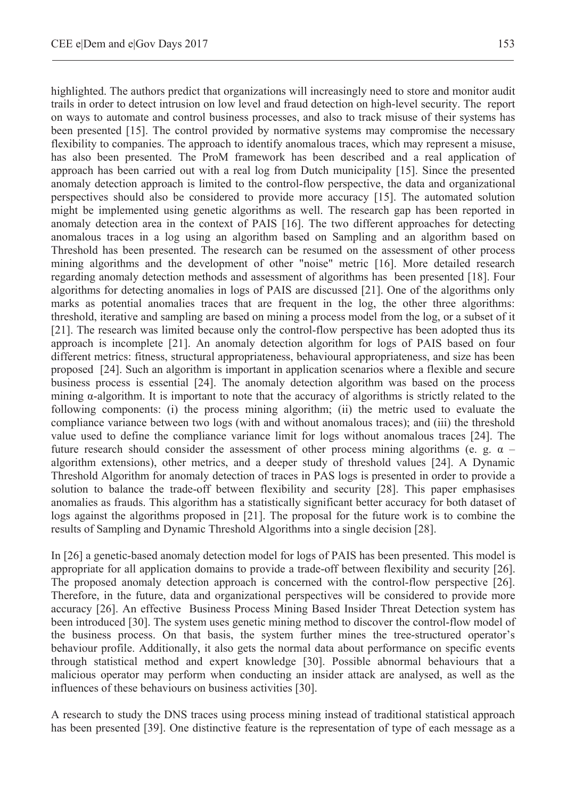highlighted. The authors predict that organizations will increasingly need to store and monitor audit trails in order to detect intrusion on low level and fraud detection on high-level security. The report on ways to automate and control business processes, and also to track misuse of their systems has been presented [15]. The control provided by normative systems may compromise the necessary flexibility to companies. The approach to identify anomalous traces, which may represent a misuse, has also been presented. The ProM framework has been described and a real application of approach has been carried out with a real log from Dutch municipality [15]. Since the presented anomaly detection approach is limited to the control-flow perspective, the data and organizational perspectives should also be considered to provide more accuracy [15]. The automated solution might be implemented using genetic algorithms as well. The research gap has been reported in anomaly detection area in the context of PAIS [16]. The two different approaches for detecting anomalous traces in a log using an algorithm based on Sampling and an algorithm based on Threshold has been presented. The research can be resumed on the assessment of other process mining algorithms and the development of other "noise" metric [16]. More detailed research regarding anomaly detection methods and assessment of algorithms has been presented [18]. Four algorithms for detecting anomalies in logs of PAIS are discussed [21]. One of the algorithms only marks as potential anomalies traces that are frequent in the log, the other three algorithms: threshold, iterative and sampling are based on mining a process model from the log, or a subset of it [21]. The research was limited because only the control-flow perspective has been adopted thus its approach is incomplete [21]. An anomaly detection algorithm for logs of PAIS based on four different metrics: fitness, structural appropriateness, behavioural appropriateness, and size has been proposed [24]. Such an algorithm is important in application scenarios where a flexible and secure business process is essential [24]. The anomaly detection algorithm was based on the process mining  $\alpha$ -algorithm. It is important to note that the accuracy of algorithms is strictly related to the following components: (i) the process mining algorithm; (ii) the metric used to evaluate the compliance variance between two logs (with and without anomalous traces); and (iii) the threshold value used to define the compliance variance limit for logs without anomalous traces [24]. The future research should consider the assessment of other process mining algorithms (e. g.  $\alpha$  – algorithm extensions), other metrics, and a deeper study of threshold values [24]. A Dynamic Threshold Algorithm for anomaly detection of traces in PAS logs is presented in order to provide a solution to balance the trade-off between flexibility and security [28]. This paper emphasises anomalies as frauds. This algorithm has a statistically significant better accuracy for both dataset of logs against the algorithms proposed in [21]. The proposal for the future work is to combine the results of Sampling and Dynamic Threshold Algorithms into a single decision [28].

In [26] a genetic-based anomaly detection model for logs of PAIS has been presented. This model is appropriate for all application domains to provide a trade-off between flexibility and security [26]. The proposed anomaly detection approach is concerned with the control-flow perspective [26]. Therefore, in the future, data and organizational perspectives will be considered to provide more accuracy [26]. An effective Business Process Mining Based Insider Threat Detection system has been introduced [30]. The system uses genetic mining method to discover the control-flow model of the business process. On that basis, the system further mines the tree-structured operator's behaviour profile. Additionally, it also gets the normal data about performance on specific events through statistical method and expert knowledge [30]. Possible abnormal behaviours that a malicious operator may perform when conducting an insider attack are analysed, as well as the influences of these behaviours on business activities [30].

A research to study the DNS traces using process mining instead of traditional statistical approach has been presented [39]. One distinctive feature is the representation of type of each message as a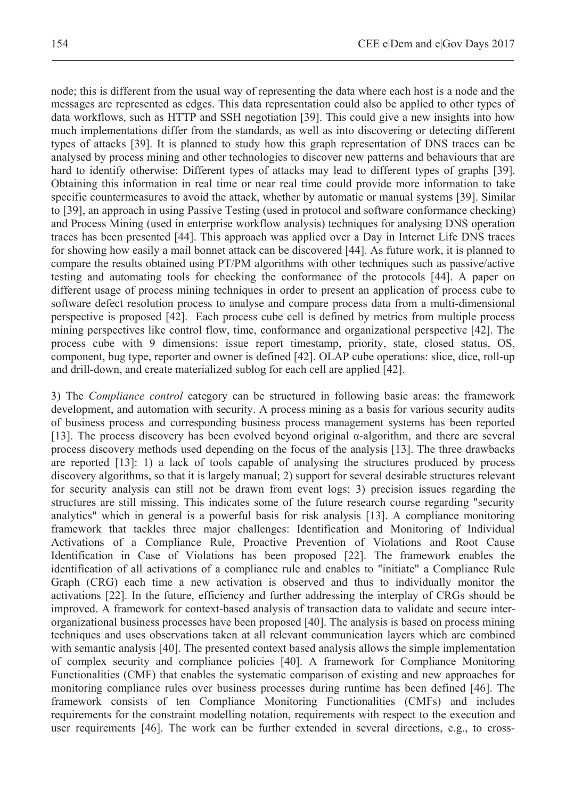node; this is different from the usual way of representing the data where each host is a node and the messages are represented as edges. This data representation could also be applied to other types of data workflows, such as HTTP and SSH negotiation [39]. This could give a new insights into how much implementations differ from the standards, as well as into discovering or detecting different types of attacks [39]. It is planned to study how this graph representation of DNS traces can be analysed by process mining and other technologies to discover new patterns and behaviours that are hard to identify otherwise: Different types of attacks may lead to different types of graphs [39]. Obtaining this information in real time or near real time could provide more information to take specific countermeasures to avoid the attack, whether by automatic or manual systems [39]. Similar to [39], an approach in using Passive Testing (used in protocol and software conformance checking) and Process Mining (used in enterprise workflow analysis) techniques for analysing DNS operation traces has been presented [44]. This approach was applied over a Day in Internet Life DNS traces for showing how easily a mail bonnet attack can be discovered [44]. As future work, it is planned to compare the results obtained using PT/PM algorithms with other techniques such as passive/active

testing and automating tools for checking the conformance of the protocols [44]. A paper on different usage of process mining techniques in order to present an application of process cube to software defect resolution process to analyse and compare process data from a multi-dimensional perspective is proposed [42]. Each process cube cell is defined by metrics from multiple process mining perspectives like control flow, time, conformance and organizational perspective [42]. The process cube with 9 dimensions: issue report timestamp, priority, state, closed status, OS, component, bug type, reporter and owner is defined [42]. OLAP cube operations: slice, dice, roll-up and drill-down, and create materialized sublog for each cell are applied [42].

3) The *Compliance control* category can be structured in following basic areas: the framework development, and automation with security. A process mining as a basis for various security audits of business process and corresponding business process management systems has been reported [13]. The process discovery has been evolved beyond original  $\alpha$ -algorithm, and there are several process discovery methods used depending on the focus of the analysis [13]. The three drawbacks are reported [13]: 1) a lack of tools capable of analysing the structures produced by process discovery algorithms, so that it is largely manual; 2) support for several desirable structures relevant for security analysis can still not be drawn from event logs; 3) precision issues regarding the structures are still missing. This indicates some of the future research course regarding "security analytics" which in general is a powerful basis for risk analysis [13]. A compliance monitoring framework that tackles three major challenges: Identification and Monitoring of Individual Activations of a Compliance Rule, Proactive Prevention of Violations and Root Cause Identification in Case of Violations has been proposed [22]. The framework enables the identification of all activations of a compliance rule and enables to "initiate" a Compliance Rule Graph (CRG) each time a new activation is observed and thus to individually monitor the activations [22]. In the future, efficiency and further addressing the interplay of CRGs should be improved. A framework for context-based analysis of transaction data to validate and secure interorganizational business processes have been proposed [40]. The analysis is based on process mining techniques and uses observations taken at all relevant communication layers which are combined with semantic analysis [40]. The presented context based analysis allows the simple implementation of complex security and compliance policies [40]. A framework for Compliance Monitoring Functionalities (CMF) that enables the systematic comparison of existing and new approaches for monitoring compliance rules over business processes during runtime has been defined [46]. The framework consists of ten Compliance Monitoring Functionalities (CMFs) and includes requirements for the constraint modelling notation, requirements with respect to the execution and user requirements [46]. The work can be further extended in several directions, e.g., to cross-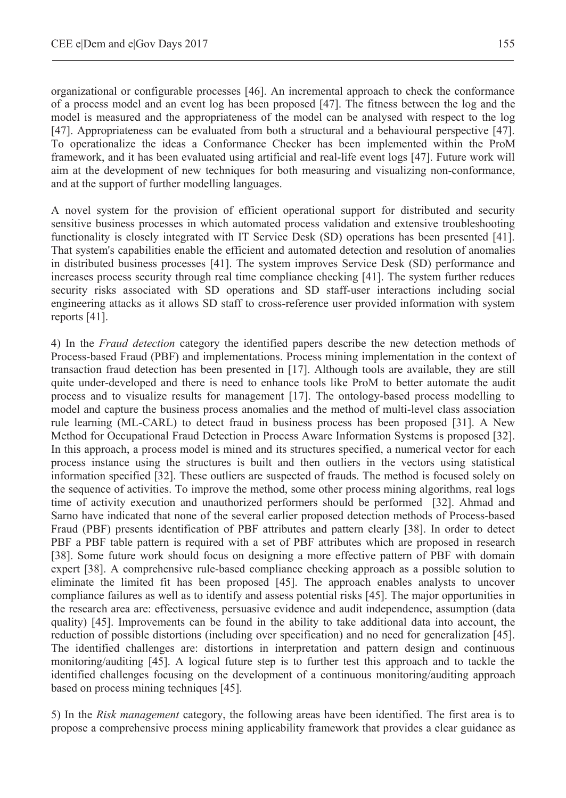organizational or configurable processes [46]. An incremental approach to check the conformance of a process model and an event log has been proposed [47]. The fitness between the log and the model is measured and the appropriateness of the model can be analysed with respect to the log [47]. Appropriateness can be evaluated from both a structural and a behavioural perspective [47]. To operationalize the ideas a Conformance Checker has been implemented within the ProM framework, and it has been evaluated using artificial and real-life event logs [47]. Future work will aim at the development of new techniques for both measuring and visualizing non-conformance, and at the support of further modelling languages.

A novel system for the provision of efficient operational support for distributed and security sensitive business processes in which automated process validation and extensive troubleshooting functionality is closely integrated with IT Service Desk (SD) operations has been presented [41]. That system's capabilities enable the efficient and automated detection and resolution of anomalies in distributed business processes [41]. The system improves Service Desk (SD) performance and increases process security through real time compliance checking [41]. The system further reduces security risks associated with SD operations and SD staff-user interactions including social engineering attacks as it allows SD staff to cross-reference user provided information with system reports [41].

4) In the *Fraud detection* category the identified papers describe the new detection methods of Process-based Fraud (PBF) and implementations. Process mining implementation in the context of transaction fraud detection has been presented in [17]. Although tools are available, they are still quite under-developed and there is need to enhance tools like ProM to better automate the audit process and to visualize results for management [17]. The ontology-based process modelling to model and capture the business process anomalies and the method of multi-level class association rule learning (ML-CARL) to detect fraud in business process has been proposed [31]. A New Method for Occupational Fraud Detection in Process Aware Information Systems is proposed [32]. In this approach, a process model is mined and its structures specified, a numerical vector for each process instance using the structures is built and then outliers in the vectors using statistical information specified [32]. These outliers are suspected of frauds. The method is focused solely on the sequence of activities. To improve the method, some other process mining algorithms, real logs time of activity execution and unauthorized performers should be performed [32]. Ahmad and Sarno have indicated that none of the several earlier proposed detection methods of Process-based Fraud (PBF) presents identification of PBF attributes and pattern clearly [38]. In order to detect PBF a PBF table pattern is required with a set of PBF attributes which are proposed in research [38]. Some future work should focus on designing a more effective pattern of PBF with domain expert [38]. A comprehensive rule-based compliance checking approach as a possible solution to eliminate the limited fit has been proposed [45]. The approach enables analysts to uncover compliance failures as well as to identify and assess potential risks [45]. The major opportunities in the research area are: effectiveness, persuasive evidence and audit independence, assumption (data quality) [45]. Improvements can be found in the ability to take additional data into account, the reduction of possible distortions (including over specification) and no need for generalization [45]. The identified challenges are: distortions in interpretation and pattern design and continuous monitoring/auditing [45]. A logical future step is to further test this approach and to tackle the identified challenges focusing on the development of a continuous monitoring/auditing approach based on process mining techniques [45].

5) In the *Risk management* category, the following areas have been identified. The first area is to propose a comprehensive process mining applicability framework that provides a clear guidance as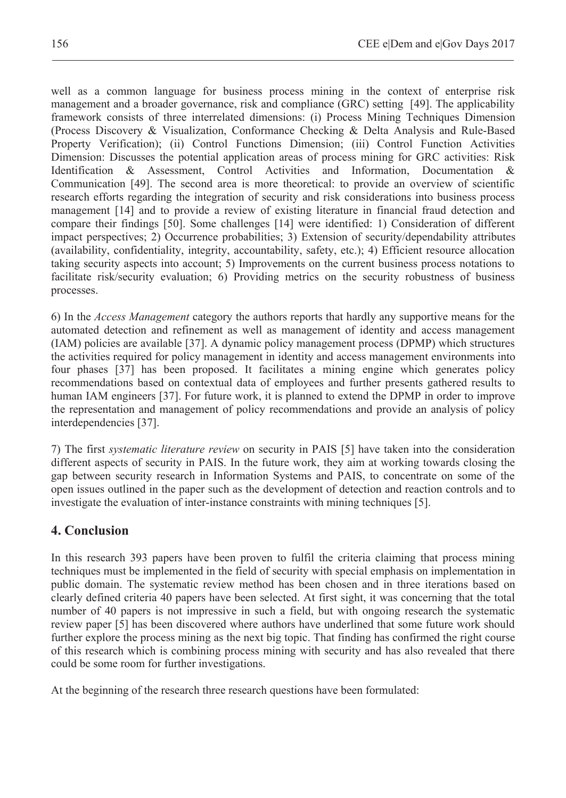well as a common language for business process mining in the context of enterprise risk management and a broader governance, risk and compliance (GRC) setting [49]. The applicability framework consists of three interrelated dimensions: (i) Process Mining Techniques Dimension (Process Discovery & Visualization, Conformance Checking & Delta Analysis and Rule-Based Property Verification); (ii) Control Functions Dimension; (iii) Control Function Activities Dimension: Discusses the potential application areas of process mining for GRC activities: Risk Identification & Assessment, Control Activities and Information, Documentation & Communication [49]. The second area is more theoretical: to provide an overview of scientific research efforts regarding the integration of security and risk considerations into business process management [14] and to provide a review of existing literature in financial fraud detection and compare their findings [50]. Some challenges [14] were identified: 1) Consideration of different impact perspectives; 2) Occurrence probabilities; 3) Extension of security/dependability attributes (availability, confidentiality, integrity, accountability, safety, etc.); 4) Efficient resource allocation taking security aspects into account; 5) Improvements on the current business process notations to facilitate risk/security evaluation; 6) Providing metrics on the security robustness of business processes.

6) In the *Access Management* category the authors reports that hardly any supportive means for the automated detection and refinement as well as management of identity and access management (IAM) policies are available [37]. A dynamic policy management process (DPMP) which structures the activities required for policy management in identity and access management environments into four phases [37] has been proposed. It facilitates a mining engine which generates policy recommendations based on contextual data of employees and further presents gathered results to human IAM engineers [37]. For future work, it is planned to extend the DPMP in order to improve the representation and management of policy recommendations and provide an analysis of policy interdependencies [37].

7) The first *systematic literature review* on security in PAIS [5] have taken into the consideration different aspects of security in PAIS. In the future work, they aim at working towards closing the gap between security research in Information Systems and PAIS, to concentrate on some of the open issues outlined in the paper such as the development of detection and reaction controls and to investigate the evaluation of inter-instance constraints with mining techniques [5].

# **4. Conclusion**

In this research 393 papers have been proven to fulfil the criteria claiming that process mining techniques must be implemented in the field of security with special emphasis on implementation in public domain. The systematic review method has been chosen and in three iterations based on clearly defined criteria 40 papers have been selected. At first sight, it was concerning that the total number of 40 papers is not impressive in such a field, but with ongoing research the systematic review paper [5] has been discovered where authors have underlined that some future work should further explore the process mining as the next big topic. That finding has confirmed the right course of this research which is combining process mining with security and has also revealed that there could be some room for further investigations.

At the beginning of the research three research questions have been formulated: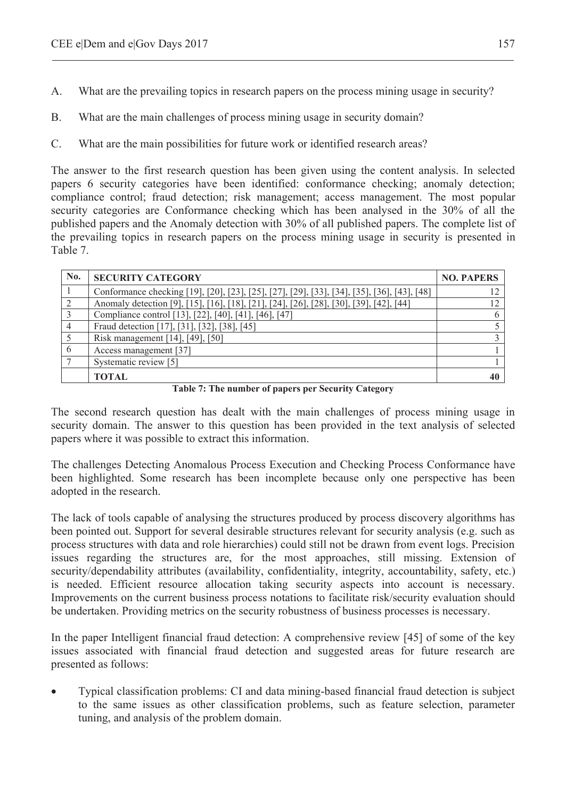- A. What are the prevailing topics in research papers on the process mining usage in security?
- B. What are the main challenges of process mining usage in security domain?
- C. What are the main possibilities for future work or identified research areas?

The answer to the first research question has been given using the content analysis. In selected papers 6 security categories have been identified: conformance checking; anomaly detection; compliance control; fraud detection; risk management; access management. The most popular security categories are Conformance checking which has been analysed in the 30% of all the published papers and the Anomaly detection with 30% of all published papers. The complete list of the prevailing topics in research papers on the process mining usage in security is presented in Table 7.

| No. | <b>SECURITY CATEGORY</b>                                                                    | <b>NO. PAPERS</b> |
|-----|---------------------------------------------------------------------------------------------|-------------------|
|     | Conformance checking [19], [20], [23], [25], [27], [29], [33], [34], [35], [36], [43], [48] | 12                |
|     | Anomaly detection [9], [15], [16], [18], [21], [24], [26], [28], [30], [39], [42], [44]     |                   |
|     | Compliance control [13], [22], [40], [41], [46], [47]                                       | 6                 |
|     | Fraud detection [17], [31], [32], [38], [45]                                                |                   |
|     | Risk management [14], [49], [50]                                                            |                   |
| 6   | Access management [37]                                                                      |                   |
|     | Systematic review [5]                                                                       |                   |
|     | <b>TOTAL</b>                                                                                | 40                |

**Table 7: The number of papers per Security Category** 

The second research question has dealt with the main challenges of process mining usage in security domain. The answer to this question has been provided in the text analysis of selected papers where it was possible to extract this information.

The challenges Detecting Anomalous Process Execution and Checking Process Conformance have been highlighted. Some research has been incomplete because only one perspective has been adopted in the research.

The lack of tools capable of analysing the structures produced by process discovery algorithms has been pointed out. Support for several desirable structures relevant for security analysis (e.g. such as process structures with data and role hierarchies) could still not be drawn from event logs. Precision issues regarding the structures are, for the most approaches, still missing. Extension of security/dependability attributes (availability, confidentiality, integrity, accountability, safety, etc.) is needed. Efficient resource allocation taking security aspects into account is necessary. Improvements on the current business process notations to facilitate risk/security evaluation should be undertaken. Providing metrics on the security robustness of business processes is necessary.

In the paper Intelligent financial fraud detection: A comprehensive review [45] of some of the key issues associated with financial fraud detection and suggested areas for future research are presented as follows:

x Typical classification problems: CI and data mining-based financial fraud detection is subject to the same issues as other classification problems, such as feature selection, parameter tuning, and analysis of the problem domain.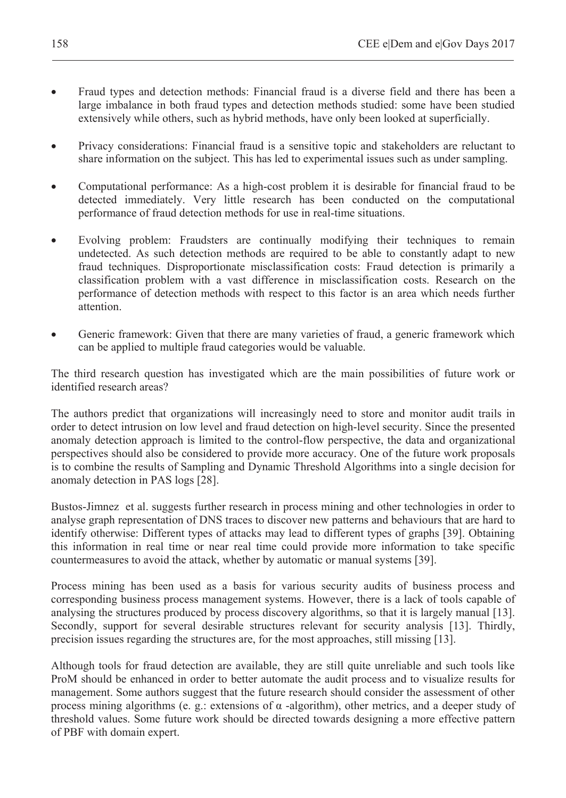- Fraud types and detection methods: Financial fraud is a diverse field and there has been a large imbalance in both fraud types and detection methods studied: some have been studied extensively while others, such as hybrid methods, have only been looked at superficially.
- Privacy considerations: Financial fraud is a sensitive topic and stakeholders are reluctant to share information on the subject. This has led to experimental issues such as under sampling.
- Computational performance: As a high-cost problem it is desirable for financial fraud to be detected immediately. Very little research has been conducted on the computational performance of fraud detection methods for use in real-time situations.
- Evolving problem: Fraudsters are continually modifying their techniques to remain undetected. As such detection methods are required to be able to constantly adapt to new fraud techniques. Disproportionate misclassification costs: Fraud detection is primarily a classification problem with a vast difference in misclassification costs. Research on the performance of detection methods with respect to this factor is an area which needs further attention.
- Generic framework: Given that there are many varieties of fraud, a generic framework which can be applied to multiple fraud categories would be valuable.

The third research question has investigated which are the main possibilities of future work or identified research areas?

The authors predict that organizations will increasingly need to store and monitor audit trails in order to detect intrusion on low level and fraud detection on high-level security. Since the presented anomaly detection approach is limited to the control-flow perspective, the data and organizational perspectives should also be considered to provide more accuracy. One of the future work proposals is to combine the results of Sampling and Dynamic Threshold Algorithms into a single decision for anomaly detection in PAS logs [28].

Bustos-Jimnez et al. suggests further research in process mining and other technologies in order to analyse graph representation of DNS traces to discover new patterns and behaviours that are hard to identify otherwise: Different types of attacks may lead to different types of graphs [39]. Obtaining this information in real time or near real time could provide more information to take specific countermeasures to avoid the attack, whether by automatic or manual systems [39].

Process mining has been used as a basis for various security audits of business process and corresponding business process management systems. However, there is a lack of tools capable of analysing the structures produced by process discovery algorithms, so that it is largely manual [13]. Secondly, support for several desirable structures relevant for security analysis [13]. Thirdly, precision issues regarding the structures are, for the most approaches, still missing [13].

Although tools for fraud detection are available, they are still quite unreliable and such tools like ProM should be enhanced in order to better automate the audit process and to visualize results for management. Some authors suggest that the future research should consider the assessment of other process mining algorithms (e. g.: extensions of  $\alpha$  -algorithm), other metrics, and a deeper study of threshold values. Some future work should be directed towards designing a more effective pattern of PBF with domain expert.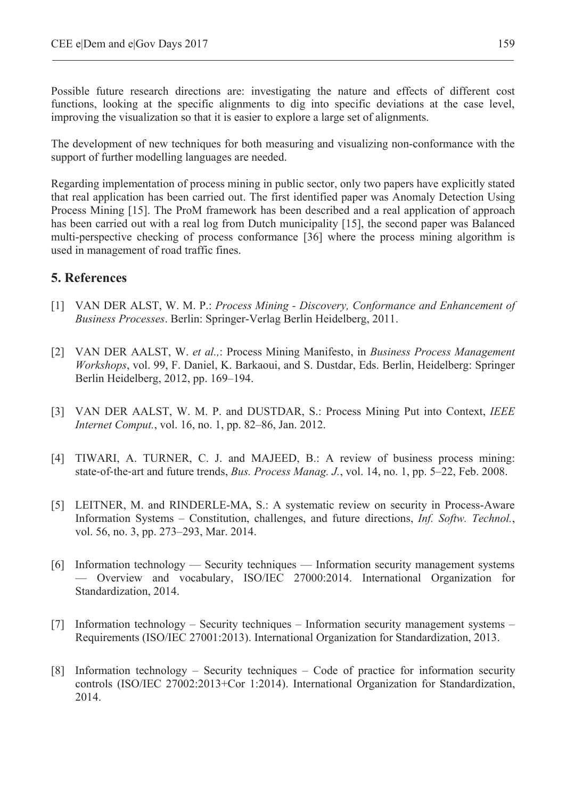Possible future research directions are: investigating the nature and effects of different cost functions, looking at the specific alignments to dig into specific deviations at the case level, improving the visualization so that it is easier to explore a large set of alignments.

The development of new techniques for both measuring and visualizing non-conformance with the support of further modelling languages are needed.

Regarding implementation of process mining in public sector, only two papers have explicitly stated that real application has been carried out. The first identified paper was Anomaly Detection Using Process Mining [15]. The ProM framework has been described and a real application of approach has been carried out with a real log from Dutch municipality [15], the second paper was Balanced multi-perspective checking of process conformance [36] where the process mining algorithm is used in management of road traffic fines.

# **5. References**

- [1] VAN DER ALST, W. M. P.: *Process Mining Discovery, Conformance and Enhancement of Business Processes*. Berlin: Springer-Verlag Berlin Heidelberg, 2011.
- [2] VAN DER AALST, W. *et al.,*: Process Mining Manifesto, in *Business Process Management Workshops*, vol. 99, F. Daniel, K. Barkaoui, and S. Dustdar, Eds. Berlin, Heidelberg: Springer Berlin Heidelberg, 2012, pp. 169–194.
- [3] VAN DER AALST, W. M. P. and DUSTDAR, S.: Process Mining Put into Context, *IEEE Internet Comput.*, vol. 16, no. 1, pp. 82–86, Jan. 2012.
- [4] TIWARI, A. TURNER, C. J. and MAJEED, B.: A review of business process mining: state-of-the-art and future trends, *Bus. Process Manag. J.*, vol. 14, no. 1, pp. 5–22, Feb. 2008.
- [5] LEITNER, M. and RINDERLE-MA, S.: A systematic review on security in Process-Aware Information Systems – Constitution, challenges, and future directions, *Inf. Softw. Technol.*, vol. 56, no. 3, pp. 273–293, Mar. 2014.
- [6] Information technology Security techniques Information security management systems — Overview and vocabulary, ISO/IEC 27000:2014. International Organization for Standardization, 2014.
- [7] Information technology Security techniques Information security management systems Requirements (ISO/IEC 27001:2013). International Organization for Standardization, 2013.
- [8] Information technology Security techniques Code of practice for information security controls (ISO/IEC 27002:2013+Cor 1:2014). International Organization for Standardization, 2014.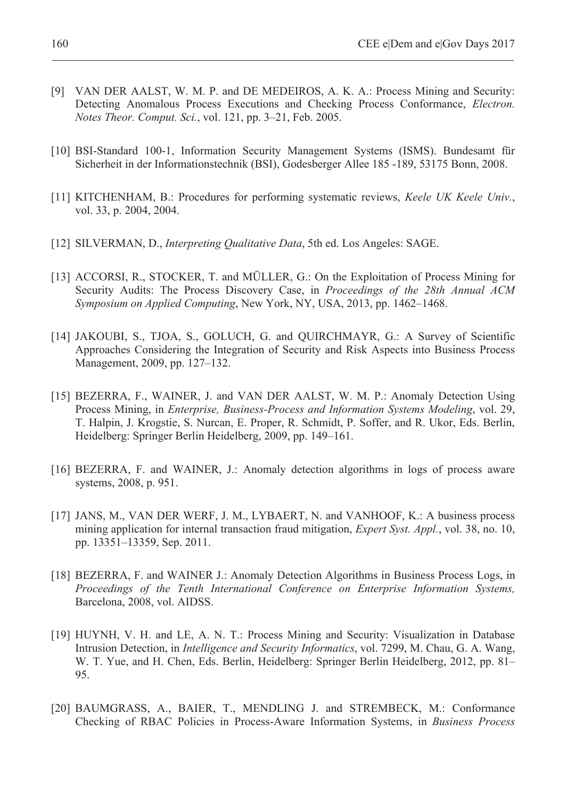- [9] VAN DER AALST, W. M. P. and DE MEDEIROS, A. K. A.: Process Mining and Security: Detecting Anomalous Process Executions and Checking Process Conformance, *Electron. Notes Theor. Comput. Sci.*, vol. 121, pp. 3–21, Feb. 2005.
- [10] BSI-Standard 100-1, Information Security Management Systems (ISMS). Bundesamt für Sicherheit in der Informationstechnik (BSI), Godesberger Allee 185 -189, 53175 Bonn, 2008.
- [11] KITCHENHAM, B.: Procedures for performing systematic reviews, *Keele UK Keele Univ.*, vol. 33, p. 2004, 2004.
- [12] SILVERMAN, D., *Interpreting Qualitative Data*, 5th ed. Los Angeles: SAGE.
- [13] ACCORSI, R., STOCKER, T. and MÜLLER, G.: On the Exploitation of Process Mining for Security Audits: The Process Discovery Case, in *Proceedings of the 28th Annual ACM Symposium on Applied Computing*, New York, NY, USA, 2013, pp. 1462–1468.
- [14] JAKOUBI, S., TJOA, S., GOLUCH, G. and QUIRCHMAYR, G.: A Survey of Scientific Approaches Considering the Integration of Security and Risk Aspects into Business Process Management, 2009, pp. 127–132.
- [15] BEZERRA, F., WAINER, J. and VAN DER AALST, W. M. P.: Anomaly Detection Using Process Mining, in *Enterprise, Business-Process and Information Systems Modeling*, vol. 29, T. Halpin, J. Krogstie, S. Nurcan, E. Proper, R. Schmidt, P. Soffer, and R. Ukor, Eds. Berlin, Heidelberg: Springer Berlin Heidelberg, 2009, pp. 149–161.
- [16] BEZERRA, F. and WAINER, J.: Anomaly detection algorithms in logs of process aware systems, 2008, p. 951.
- [17] JANS, M., VAN DER WERF, J. M., LYBAERT, N. and VANHOOF, K.: A business process mining application for internal transaction fraud mitigation, *Expert Syst. Appl.*, vol. 38, no. 10, pp. 13351–13359, Sep. 2011.
- [18] BEZERRA, F. and WAINER J.: Anomaly Detection Algorithms in Business Process Logs, in *Proceedings of the Tenth International Conference on Enterprise Information Systems,* Barcelona, 2008, vol. AIDSS.
- [19] HUYNH, V. H. and LE, A. N. T.: Process Mining and Security: Visualization in Database Intrusion Detection, in *Intelligence and Security Informatics*, vol. 7299, M. Chau, G. A. Wang, W. T. Yue, and H. Chen, Eds. Berlin, Heidelberg: Springer Berlin Heidelberg, 2012, pp. 81– 95.
- [20] BAUMGRASS, A., BAIER, T., MENDLING J. and STREMBECK, M.: Conformance Checking of RBAC Policies in Process-Aware Information Systems, in *Business Process*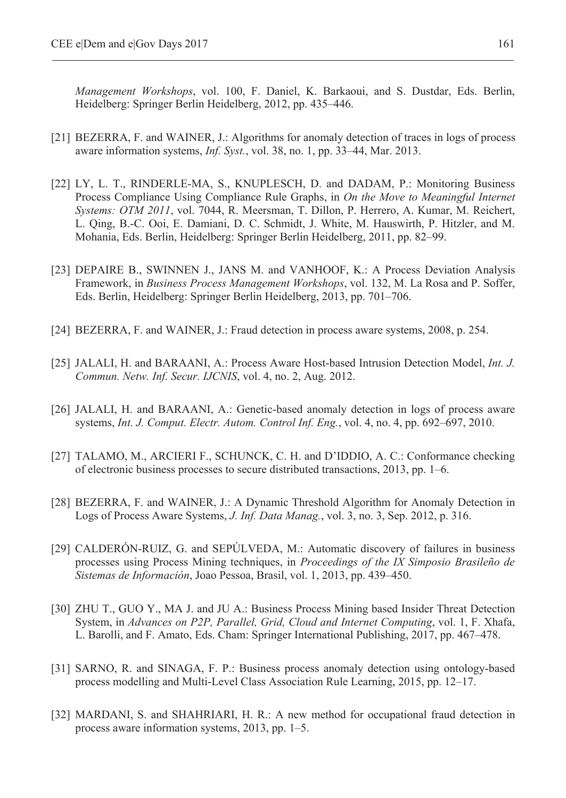*Management Workshops*, vol. 100, F. Daniel, K. Barkaoui, and S. Dustdar, Eds. Berlin, Heidelberg: Springer Berlin Heidelberg, 2012, pp. 435–446.

- [21] BEZERRA, F. and WAINER, J.: Algorithms for anomaly detection of traces in logs of process aware information systems, *Inf. Syst.*, vol. 38, no. 1, pp. 33–44, Mar. 2013.
- [22] LY, L. T., RINDERLE-MA, S., KNUPLESCH, D. and DADAM, P.: Monitoring Business Process Compliance Using Compliance Rule Graphs, in *On the Move to Meaningful Internet Systems: OTM 2011*, vol. 7044, R. Meersman, T. Dillon, P. Herrero, A. Kumar, M. Reichert, L. Qing, B.-C. Ooi, E. Damiani, D. C. Schmidt, J. White, M. Hauswirth, P. Hitzler, and M. Mohania, Eds. Berlin, Heidelberg: Springer Berlin Heidelberg, 2011, pp. 82–99.
- [23] DEPAIRE B., SWINNEN J., JANS M. and VANHOOF, K.: A Process Deviation Analysis Framework, in *Business Process Management Workshops*, vol. 132, M. La Rosa and P. Soffer, Eds. Berlin, Heidelberg: Springer Berlin Heidelberg, 2013, pp. 701–706.
- [24] BEZERRA, F. and WAINER, J.: Fraud detection in process aware systems, 2008, p. 254.
- [25] JALALI, H. and BARAANI, A.: Process Aware Host-based Intrusion Detection Model, *Int. J. Commun. Netw. Inf. Secur. IJCNIS*, vol. 4, no. 2, Aug. 2012.
- [26] JALALI, H. and BARAANI, A.: Genetic-based anomaly detection in logs of process aware systems, *Int. J. Comput. Electr. Autom. Control Inf. Eng.*, vol. 4, no. 4, pp. 692–697, 2010.
- [27] TALAMO, M., ARCIERI F., SCHUNCK, C. H. and D'IDDIO, A. C.: Conformance checking of electronic business processes to secure distributed transactions, 2013, pp. 1–6.
- [28] BEZERRA, F. and WAINER, J.: A Dynamic Threshold Algorithm for Anomaly Detection in Logs of Process Aware Systems, *J. Inf. Data Manag.*, vol. 3, no. 3, Sep. 2012, p. 316.
- [29] CALDERÓN-RUIZ, G. and SEPÚLVEDA, M.: Automatic discovery of failures in business processes using Process Mining techniques, in *Proceedings of the IX Simposio Brasileño de Sistemas de Información*, Joao Pessoa, Brasil, vol. 1, 2013, pp. 439–450.
- [30] ZHU T., GUO Y., MA J. and JU A.: Business Process Mining based Insider Threat Detection System, in *Advances on P2P, Parallel, Grid, Cloud and Internet Computing*, vol. 1, F. Xhafa, L. Barolli, and F. Amato, Eds. Cham: Springer International Publishing, 2017, pp. 467–478.
- [31] SARNO, R. and SINAGA, F. P.: Business process anomaly detection using ontology-based process modelling and Multi-Level Class Association Rule Learning, 2015, pp. 12–17.
- [32] MARDANI, S. and SHAHRIARI, H. R.: A new method for occupational fraud detection in process aware information systems, 2013, pp. 1–5.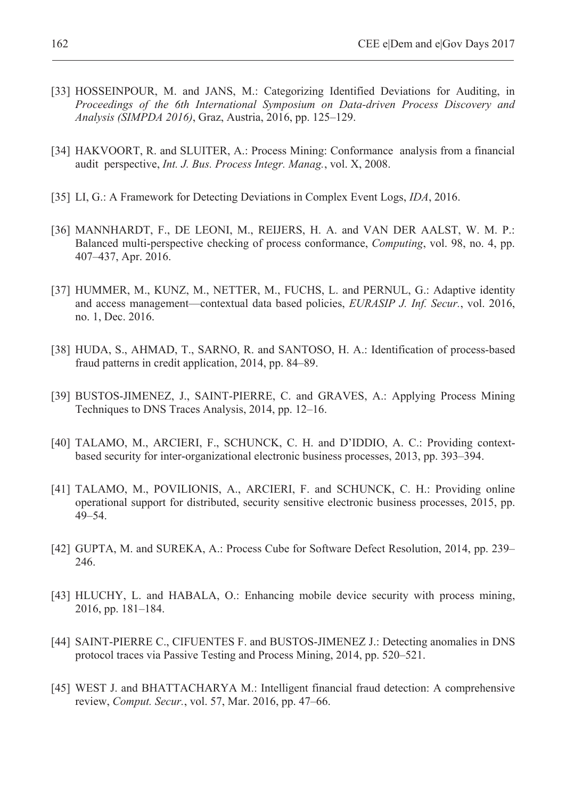- [33] HOSSEINPOUR, M. and JANS, M.: Categorizing Identified Deviations for Auditing, in *Proceedings of the 6th International Symposium on Data-driven Process Discovery and Analysis (SIMPDA 2016)*, Graz, Austria, 2016, pp. 125–129.
- [34] HAKVOORT, R. and SLUITER, A.: Process Mining: Conformance analysis from a financial audit perspective, *Int. J. Bus. Process Integr. Manag.*, vol. X, 2008.
- [35] LI, G.: A Framework for Detecting Deviations in Complex Event Logs, *IDA*, 2016.
- [36] MANNHARDT, F., DE LEONI, M., REIJERS, H. A. and VAN DER AALST, W. M. P.: Balanced multi-perspective checking of process conformance, *Computing*, vol. 98, no. 4, pp. 407–437, Apr. 2016.
- [37] HUMMER, M., KUNZ, M., NETTER, M., FUCHS, L. and PERNUL, G.: Adaptive identity and access management—contextual data based policies, *EURASIP J. Inf. Secur.*, vol. 2016, no. 1, Dec. 2016.
- [38] HUDA, S., AHMAD, T., SARNO, R. and SANTOSO, H. A.: Identification of process-based fraud patterns in credit application, 2014, pp. 84–89.
- [39] BUSTOS-JIMENEZ, J., SAINT-PIERRE, C. and GRAVES, A.: Applying Process Mining Techniques to DNS Traces Analysis, 2014, pp. 12–16.
- [40] TALAMO, M., ARCIERI, F., SCHUNCK, C. H. and D'IDDIO, A. C.: Providing contextbased security for inter-organizational electronic business processes, 2013, pp. 393–394.
- [41] TALAMO, M., POVILIONIS, A., ARCIERI, F. and SCHUNCK, C. H.: Providing online operational support for distributed, security sensitive electronic business processes, 2015, pp. 49–54.
- [42] GUPTA, M. and SUREKA, A.: Process Cube for Software Defect Resolution, 2014, pp. 239– 246.
- [43] HLUCHY, L. and HABALA, O.: Enhancing mobile device security with process mining, 2016, pp. 181–184.
- [44] SAINT-PIERRE C., CIFUENTES F. and BUSTOS-JIMENEZ J.: Detecting anomalies in DNS protocol traces via Passive Testing and Process Mining, 2014, pp. 520–521.
- [45] WEST J. and BHATTACHARYA M.: Intelligent financial fraud detection: A comprehensive review, *Comput. Secur.*, vol. 57, Mar. 2016, pp. 47–66.